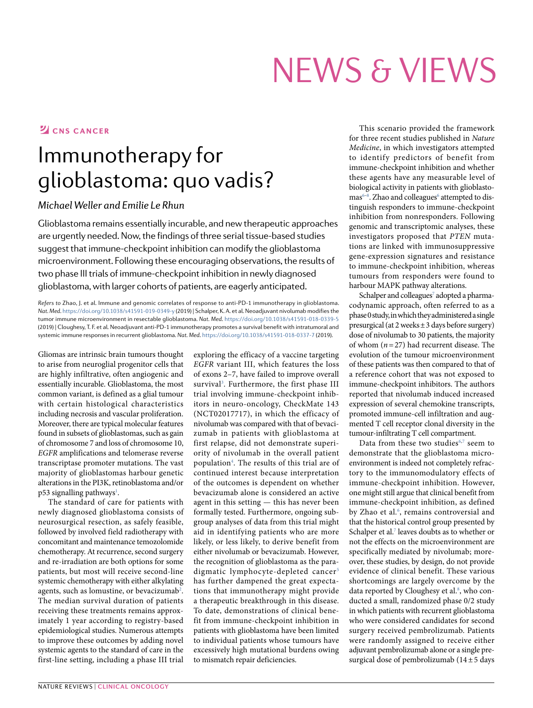# News & VIews

#### **Z**CNS CANCER

## Immunotherapy for glioblastoma: quo vadis?

#### *Michael Weller and Emilie Le Rhun*

Glioblastoma remains essentially incurable, and new therapeutic approaches are urgently needed. Now, the findings of three serial tissue-based studies suggest that immune-checkpoint inhibition can modify the glioblastoma microenvironment. Following these encouraging observations, the results of two phase III trials of immune-checkpoint inhibition in newly diagnosed glioblastoma, with larger cohorts of patients, are eagerly anticipated.

*Refers to* Zhao, J. et al. Immune and genomic correlates of response to anti-PD-1 immunotherapy in glioblastoma. *Nat. Med*. [https://doi.org/](https://doi.org/10.1038/s41591-019-0349-y)10.1038/s41591-019-0349-y (2019) | Schalper, K. A. et al. Neoadjuvant nivolumab modifies the tumor immune microenvironment in resectable glioblastoma. *Nat. Med*. [https://doi.org/](https://doi.org/10.1038/s41591-018-0339-5)10.1038/s41591-018-0339-5 (2019) | Cloughesy, T. F. et al. Neoadjuvant anti-PD-1 immunotherapy promotes a survival benefit with intratumoral and systemic immune responses in recurrent glioblastoma. *Nat. Med*. [https://doi.org/](https://doi.org/10.1038/s41591-018-0337-7)10.1038/s41591-018-0337-7 (2019).

Gliomas are intrinsic brain tumours thought to arise from neuroglial progenitor cells that are highly infiltrative, often angiogenic and essentially incurable. Glioblastoma, the most common variant, is defined as a glial tumour with certain histological characteristics including necrosis and vascular proliferation. Moreover, there are typical molecular features found in subsets of glioblastomas, such as gain of chromosome 7 and loss of chromosome 10, *EGFR* amplifications and telomerase reverse transcriptase promoter mutations. The vast majority of glioblastomas harbour genetic alterations in the PI3K, retinoblastoma and/or p53 signalling pathways<sup>[1](#page-1-0)</sup>.

The standard of care for patients with newly diagnosed glioblastoma consists of neurosurgical resection, as safely feasible, followed by involved field radiotherapy with concomitant and maintenance temozolomide chemotherapy. At recurrence, second surgery and re-irradiation are both options for some patients, but most will receive second-line systemic chemotherapy with either alkylating agents, such as lomustine, or bevacizumab<sup>2</sup>. The median survival duration of patients receiving these treatments remains approximately 1 year according to registry-based epidemiological studies. Numerous attempts to improve these outcomes by adding novel systemic agents to the standard of care in the first-line setting, including a phase III trial

exploring the efficacy of a vaccine targeting *EGFR* variant III, which features the loss of exons 2–7, have failed to improve overall survival<sup>3</sup>. Furthermore, the first phase III trial involving immune-checkpoint inhibitors in neuro-oncology, CheckMate 143 (NCT02017717), in which the efficacy of nivolumab was compared with that of bevacizumab in patients with glioblastoma at first relapse, did not demonstrate superiority of nivolumab in the overall patient populatio[n4](#page-1-6) . The results of this trial are of continued interest because interpretation of the outcomes is dependent on whether bevacizumab alone is considered an active agent in this setting — this has never been formally tested. Furthermore, ongoing subgroup analyses of data from this trial might aid in identifying patients who are more likely, or less likely, to derive benefit from either nivolumab or bevacizumab. However, the recognition of glioblastoma as the para-digmatic lymphocyte-depleted cancer<sup>[5](#page-1-7)</sup> has further dampened the great expectations that immunotherapy might provide a therapeutic breakthrough in this disease. To date, demonstrations of clinical benefit from immune-checkpoint inhibition in patients with glioblastoma have been limited to individual patients whose tumours have excessively high mutational burdens owing to mismatch repair deficiencies.

This scenario provided the framework for three recent studies published in *Nature Medicine*, in which investigators attempted to identify predictors of benefit from immune-checkpoint inhibition and whether these agents have any measurable level of biological activity in patients with glioblasto-mas<sup>[6](#page-1-2)-8</sup>. Zhao and colleagues<sup>6</sup> attempted to distinguish responders to immune-checkpoint inhibition from nonresponders. Following genomic and transcriptomic analyses, these investigators proposed that *PTEN* mutations are linked with immunosuppressive gene-expression signatures and resistance to immune-checkpoint inhibition, whereas tumours from responders were found to harbour MAPK pathway alterations.

Schalper and colleagues<sup>7</sup> adopted a pharmacodynamic approach, often referred to as a phase 0 study, in which they administered a single presurgical (at 2 weeks±3 days before surgery) dose of nivolumab to 30 patients, the majority of whom (*n*=27) had recurrent disease. The evolution of the tumour microenvironment of these patients was then compared to that of a reference cohort that was not exposed to immune-checkpoint inhibitors. The authors reported that nivolumab induced increased expression of several chemokine transcripts, promoted immune-cell infiltration and augmented T cell receptor clonal diversity in the tumour-infiltrating T cell compartment.

Data from these two studies $6,7$  $6,7$  $6,7$  seem to demonstrate that the glioblastoma microenvironment is indeed not completely refractory to the immunomodulatory effects of immune-checkpoint inhibition. However, one might still argue that clinical benefit from immune-checkpoint inhibition, as defined by Zhao et al.<sup>[6](#page-1-2)</sup>, remains controversial and that the historical control group presented by Schalper et al.<sup>7</sup> leaves doubts as to whether or not the effects on the microenvironment are specifically mediated by nivolumab; moreover, these studies, by design, do not provide evidence of clinical benefit. These various shortcomings are largely overcome by the data reported by Cloughesy et al.<sup>8</sup>, who conducted a small, randomized phase 0/2 study in which patients with recurrent glioblastoma who were considered candidates for second surgery received pembrolizumab. Patients were randomly assigned to receive either adjuvant pembrolizumab alone or a single presurgical dose of pembrolizumab (14±5 days